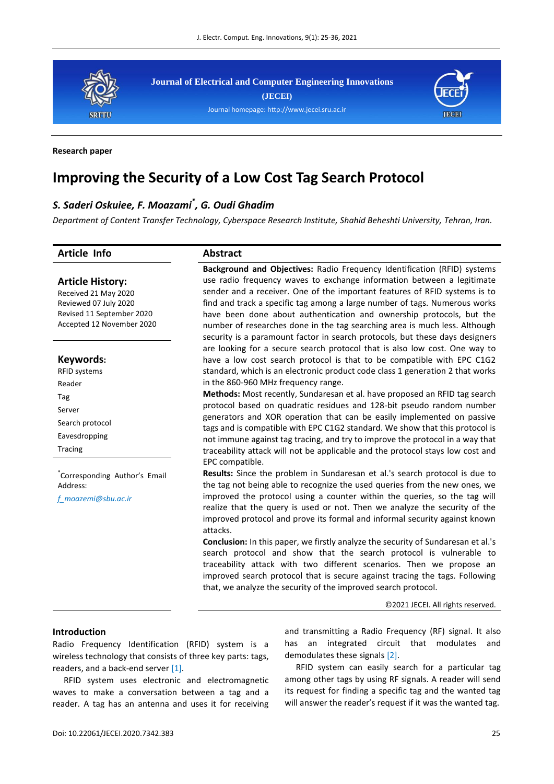

**Journal of Electrical and Computer Engineering Innovations (JECEI)**





#### **Research paper**

# **Improving the Security of a Low Cost Tag Search Protocol**

## *S. Saderi Oskuiee, F. Moazami\* , G. Oudi Ghadim*

*Department of Content Transfer Technology, Cyberspace Research Institute, Shahid Beheshti University, Tehran, Iran.*

#### **Article Info Abstract**

**Keywords:** RFID systems Reader Tag Server

Search protocol Eavesdropping Tracing

Address:

\* Corresponding Author's Email

*[f\\_moazemi@sbu.ac.ir](mailto:f_moazemi@sbu.ac.ir)*

**Article History:** Received 21 May 2020 Reviewed 07 July 2020 Revised 11 September 2020 Accepted 12 November 2020

**Background and Objectives:** Radio Frequency Identification (RFID) systems use radio frequency waves to exchange information between a legitimate sender and a receiver. One of the important features of RFID systems is to find and track a specific tag among a large number of tags. Numerous works have been done about authentication and ownership protocols, but the number of researches done in the tag searching area is much less. Although security is a paramount factor in search protocols, but these days designers are looking for a secure search protocol that is also low cost. One way to have a low cost search protocol is that to be compatible with EPC C1G2 standard, which is an electronic product code class 1 generation 2 that works in the 860-960 MHz frequency range.

**Methods:** Most recently, Sundaresan et al. have proposed an RFID tag search protocol based on quadratic residues and 128-bit pseudo random number generators and XOR operation that can be easily implemented on passive tags and is compatible with EPC C1G2 standard. We show that this protocol is not immune against tag tracing, and try to improve the protocol in a way that traceability attack will not be applicable and the protocol stays low cost and EPC compatible.

**Results:** Since the problem in Sundaresan et al.'s search protocol is due to the tag not being able to recognize the used queries from the new ones, we improved the protocol using a counter within the queries, so the tag will realize that the query is used or not. Then we analyze the security of the improved protocol and prove its formal and informal security against known attacks.

**Conclusion:** In this paper, we firstly analyze the security of Sundaresan et al.'s search protocol and show that the search protocol is vulnerable to traceability attack with two different scenarios. Then we propose an improved search protocol that is secure against tracing the tags. Following that, we analyze the security of the improved search protocol.

©2021 JECEI. All rights reserved.

#### **Introduction**

Radio Frequency Identification (RFID) system is a wireless technology that consists of three key parts: tags, readers, and a back-end server [\[1\].](#page-10-0)

RFID system uses electronic and electromagnetic waves to make a conversation between a tag and a reader. A tag has an antenna and uses it for receiving

and transmitting a Radio Frequency (RF) signal. It also has an integrated circuit that modulates and demodulates these signals [\[2\].](#page-10-1)

RFID system can easily search for a particular tag among other tags by using RF signals. A reader will send its request for finding a specific tag and the wanted tag will answer the reader's request if it was the wanted tag.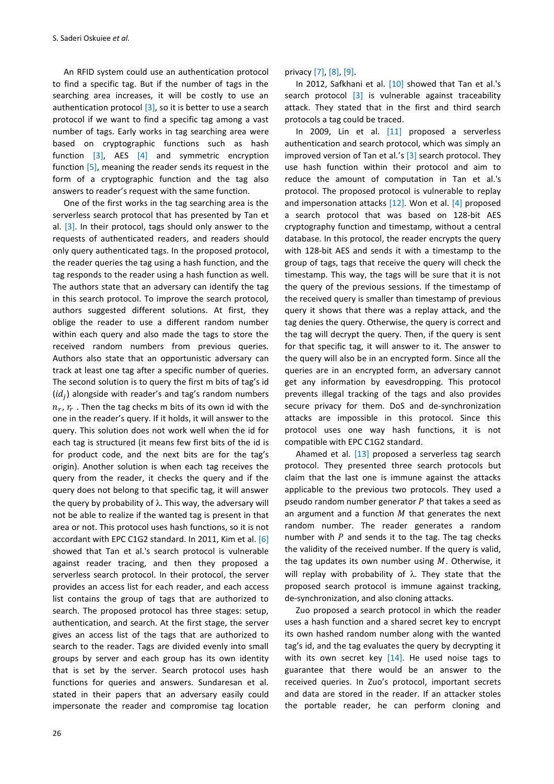An RFID system could use an authentication protocol to find a specific tag. But if the number of tags in the searching area increases, it will be costly to use an authentication protocol  $[3]$ , so it is better to use a search protocol if we want to find a specific tag among a vast number of tags. Early works in tag searching area were based on cryptographic functions such as hash function [\[3\],](#page-10-2) AES [\[4\]](#page-10-3) and symmetric encryption function [\[5\],](#page-10-4) meaning the reader sends its request in the form of a cryptographic function and the tag also answers to reader's request with the same function.

One of the first works in the tag searching area is the serverless search protocol that has presented by Tan et al.  $[3]$ . In their protocol, tags should only answer to the requests of authenticated readers, and readers should only query authenticated tags. In the proposed protocol, the reader queries the tag using a hash function, and the tag responds to the reader using a hash function as well. The authors state that an adversary can identify the tag in this search protocol. To improve the search protocol, authors suggested different solutions. At first, they oblige the reader to use a different random number within each query and also made the tags to store the received random numbers from previous queries. Authors also state that an opportunistic adversary can track at least one tag after a specific number of queries. The second solution is to query the first m bits of tag's id  $(id<sub>j</sub>)$  alongside with reader's and tag's random numbers  $n_r$ ,  $r_r$  . Then the tag checks m bits of its own id with the one in the reader's query. If it holds, it will answer to the query. This solution does not work well when the id for each tag is structured (it means few first bits of the id is for product code, and the next bits are for the tag's origin). Another solution is when each tag receives the query from the reader, it checks the query and if the query does not belong to that specific tag, it will answer the query by probability of  $\lambda$ . This way, the adversary will not be able to realize if the wanted tag is present in that area or not. This protocol uses hash functions, so it is not accordant with EPC C1G2 standard. In 2011, Kim et al. [\[6\]](#page-10-5) showed that Tan et al.'s search protocol is vulnerable against reader tracing, and then they proposed a serverless search protocol. In their protocol, the server provides an access list for each reader, and each access list contains the group of tags that are authorized to search. The proposed protocol has three stages: setup, authentication, and search. At the first stage, the server gives an access list of the tags that are authorized to search to the reader. Tags are divided evenly into small groups by server and each group has its own identity that is set by the server. Search protocol uses hash functions for queries and answers. Sundaresan et al. stated in their papers that an adversary easily could impersonate the reader and compromise tag location

privacy [\[7\],](#page-10-6) [\[8\],](#page-10-7) [\[9\].](#page-10-8)

In 2012, Safkhani et al. [\[10\]](#page-10-9) showed that Tan et al.'s search protocol  $\begin{bmatrix} 3 \end{bmatrix}$  is vulnerable against traceability attack. They stated that in the first and third search protocols a tag could be traced.

In 2009, Lin et al. [\[11\]](#page-10-10) proposed a serverless authentication and search protocol, which was simply an improved version of Tan et al.'s [\[3\]](#page-10-2) search protocol. They use hash function within their protocol and aim to reduce the amount of computation in Tan et al.'s protocol. The proposed protocol is vulnerable to replay and impersonation attacks  $[12]$ . Won et al.  $[4]$  proposed a search protocol that was based on 128-bit AES cryptography function and timestamp, without a central database. In this protocol, the reader encrypts the query with 128-bit AES and sends it with a timestamp to the group of tags, tags that receive the query will check the timestamp. This way, the tags will be sure that it is not the query of the previous sessions. If the timestamp of the received query is smaller than timestamp of previous query it shows that there was a replay attack, and the tag denies the query. Otherwise, the query is correct and the tag will decrypt the query. Then, if the query is sent for that specific tag, it will answer to it. The answer to the query will also be in an encrypted form. Since all the queries are in an encrypted form, an adversary cannot get any information by eavesdropping. This protocol prevents illegal tracking of the tags and also provides secure privacy for them. DoS and de-synchronization attacks are impossible in this protocol. Since this protocol uses one way hash functions, it is not compatible with EPC C1G2 standard.

Ahamed et al. [\[13\]](#page-10-12) proposed a serverless tag search protocol. They presented three search protocols but claim that the last one is immune against the attacks applicable to the previous two protocols. They used a pseudo random number generator  $P$  that takes a seed as an argument and a function  $M$  that generates the next random number. The reader generates a random number with  $P$  and sends it to the tag. The tag checks the validity of the received number. If the query is valid, the tag updates its own number using  $M$ . Otherwise, it will replay with probability of  $\lambda$ . They state that the proposed search protocol is immune against tracking, de-synchronization, and also cloning attacks.

Zuo proposed a search protocol in which the reader uses a hash function and a shared secret key to encrypt its own hashed random number along with the wanted tag's id, and the tag evaluates the query by decrypting it with its own secret key  $[14]$ . He used noise tags to guarantee that there would be an answer to the received queries. In Zuo's protocol, important secrets and data are stored in the reader. If an attacker stoles the portable reader, he can perform cloning and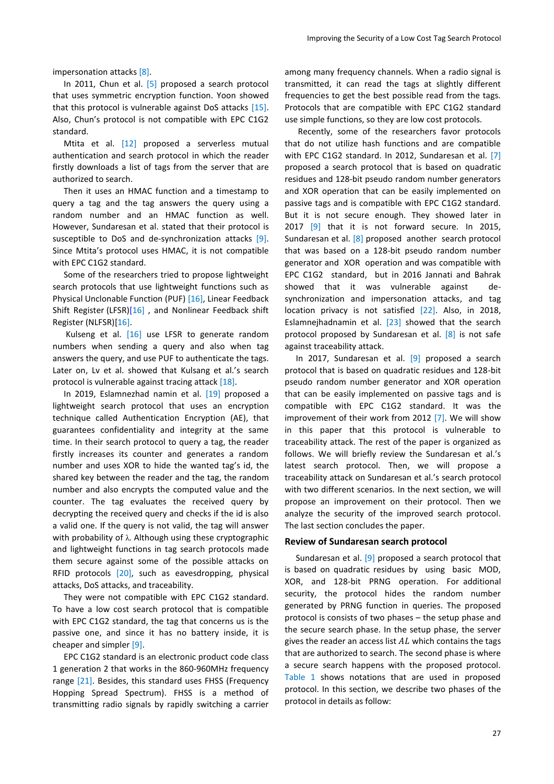impersonation attacks [\[8\].](#page-10-7)

In 2011, Chun et al. [\[5\]](#page-10-4) proposed a search protocol that uses symmetric encryption function. Yoon showed that this protocol is vulnerable against DoS attacks [\[15\].](#page-10-14) Also, Chun's protocol is not compatible with EPC C1G2 standard.

Mtita et al. [\[12\]](#page-10-11) proposed a serverless mutual authentication and search protocol in which the reader firstly downloads a list of tags from the server that are authorized to search.

Then it uses an HMAC function and a timestamp to query a tag and the tag answers the query using a random number and an HMAC function as well. However, Sundaresan et al. stated that their protocol is susceptible to DoS and de-synchronization attacks [\[9\].](#page-10-8) Since Mtita's protocol uses HMAC, it is not compatible with EPC C1G2 standard.

Some of the researchers tried to propose lightweight search protocols that use lightweight functions such as Physical Unclonable Function (PUF) [\[16\],](#page-10-15) Linear Feedback Shift Register (LFSR[\)\[16\]](#page-10-15), and Nonlinear Feedback shift Register (NLFSR[\)\[16\].](#page-10-16)

Kulseng et al. [\[16\]](#page-10-15) use LFSR to generate random numbers when sending a query and also when tag answers the query, and use PUF to authenticate the tags. Later on, Lv et al. showed that Kulsang et al.'s search protocol is vulnerable against tracing attack [\[18\].](#page-10-17)

In 2019, Eslamnezhad namin et al. [\[19\]](#page-10-18) proposed a lightweight search protocol that uses an encryption technique called Authentication Encryption (AE), that guarantees confidentiality and integrity at the same time. In their search protocol to query a tag, the reader firstly increases its counter and generates a random number and uses XOR to hide the wanted tag's id, the shared key between the reader and the tag, the random number and also encrypts the computed value and the counter. The tag evaluates the received query by decrypting the received query and checks if the id is also a valid one. If the query is not valid, the tag will answer with probability of λ. Although using these cryptographic and lightweight functions in tag search protocols made them secure against some of the possible attacks on RFID protocols [\[20\],](#page-10-19) such as eavesdropping, physical attacks, DoS attacks, and traceability.

They were not compatible with EPC C1G2 standard. To have a low cost search protocol that is compatible with EPC C1G2 standard, the tag that concerns us is the passive one, and since it has no battery inside, it is cheaper and simpler [\[9\].](#page-10-8)

EPC C1G2 standard is an electronic product code class 1 generation 2 that works in the 860-960MHz frequency range [\[21\].](#page-11-0) Besides, this standard uses FHSS (Frequency Hopping Spread Spectrum). FHSS is a method of transmitting radio signals by rapidly switching a carrier

among many frequency channels. When a radio signal is transmitted, it can read the tags at slightly different frequencies to get the best possible read from the tags. Protocols that are compatible with EPC C1G2 standard use simple functions, so they are low cost protocols.

Recently, some of the researchers favor protocols that do not utilize hash functions and are compatible with EPC C1G2 standard. In 2012, Sundaresan et al. [\[7\]](#page-10-6) proposed a search protocol that is based on quadratic residues and 128-bit pseudo random number generators and XOR operation that can be easily implemented on passive tags and is compatible with EPC C1G2 standard. But it is not secure enough. They showed later in 2017  $[9]$  that it is not forward secure. In 2015, Sundaresan et al. [\[8\]](#page-10-7) proposed another search protocol that was based on a 128-bit pseudo random number generator and XOR operation and was compatible with EPC C1G2 standard, but in 2016 Jannati and Bahrak showed that it was vulnerable against desynchronization and impersonation attacks, and tag location privacy is not satisfied [\[22\].](#page-11-1) Also, in 2018, Eslamnejhadnamin et al. [\[23\]](#page-11-2) showed that the search protocol proposed by Sundaresan et al. [\[8\]](#page-10-7) is not safe against traceability attack.

In 2017, Sundaresan et al. <a>[\[9\]](#page-10-8)</a> proposed a search protocol that is based on quadratic residues and 128-bit pseudo random number generator and XOR operation that can be easily implemented on passive tags and is compatible with EPC C1G2 standard. It was the improvement of their work from 2012 [\[7\].](#page-10-6) We will show in this paper that this protocol is vulnerable to traceability attack. The rest of the paper is organized as follows. We will briefly review the Sundaresan et al.'s latest search protocol. Then, we will propose a traceability attack on Sundaresan et al.'s search protocol with two different scenarios. In the next section, we will propose an improvement on their protocol. Then we analyze the security of the improved search protocol. The last section concludes the paper.

#### **Review of Sundaresan search protocol**

Sundaresan et al. [\[9\]](#page-10-8) proposed a search protocol that is based on quadratic residues by using basic MOD, XOR, and 128-bit PRNG operation. For additional security, the protocol hides the random number generated by PRNG function in queries. The proposed protocol is consists of two phases – the setup phase and the secure search phase. In the setup phase, the server gives the reader an access list  $AL$  which contains the tags that are authorized to search. The second phase is where a secure search happens with the proposed protocol. [Table 1](#page-3-0) shows notations that are used in proposed protocol. In this section, we describe two phases of the protocol in details as follow: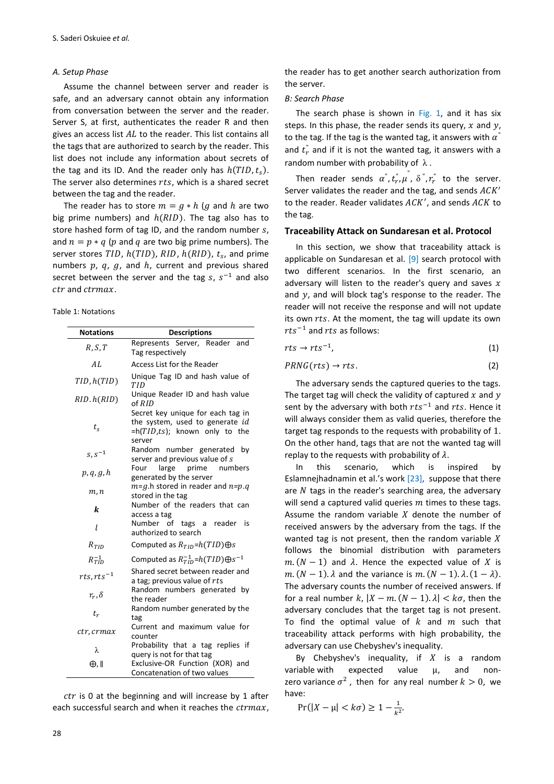#### *A. Setup Phase*

Assume the channel between server and reader is safe, and an adversary cannot obtain any information from conversation between the server and the reader. Server S, at first, authenticates the reader R and then gives an access list  $AL$  to the reader. This list contains all the tags that are authorized to search by the reader. This list does not include any information about secrets of the tag and its ID. And the reader only has  $h(TID, t<sub>s</sub>)$ . The server also determines  $rts$ , which is a shared secret between the tag and the reader.

The reader has to store  $m = g * h$  (g and h are two big prime numbers) and  $h(RID)$ . The tag also has to store hashed form of tag ID, and the random number  $s$ , and  $n = p * q$  (p and q are two big prime numbers). The server stores TID,  $h(TID)$ , RID,  $h(RID)$ ,  $t_s$ , and prime numbers  $p$ ,  $q$ ,  $g$ , and  $h$ , current and previous shared secret between the server and the tag  $s, s^{-1}$  and also ctr and ctrmax.

<span id="page-3-0"></span>Table 1: Notations

| <b>Notations</b>      | <b>Descriptions</b>                                                                                             |
|-----------------------|-----------------------------------------------------------------------------------------------------------------|
| R, S, T               | Represents Server, Reader and<br>Tag respectively                                                               |
| AI.                   | Access List for the Reader                                                                                      |
| TID, h(TID)           | Unique Tag ID and hash value of<br>TID                                                                          |
| RID.h(RID)            | Unique Reader ID and hash value<br>of RID                                                                       |
| $t_{s}$               | Secret key unique for each tag in<br>the system, used to generate id<br>=h(TID,ts); known only to the<br>server |
| $s, s^{-1}$           | Random number generated<br>by<br>server and previous value of s                                                 |
| p, q, g, h            | prime<br>Four<br>large<br>numbers<br>generated by the server                                                    |
| m, n                  | $m=q.h$ stored in reader and $n=p.q$<br>stored in the tag                                                       |
| k                     | Number of the readers that can<br>access a tag                                                                  |
| l                     | Number of tags a reader is<br>authorized to search                                                              |
| $R_{TID}$             | Computed as $R_{TID} = h(TID) \oplus s$                                                                         |
| $R_{\text{TID}}^{-1}$ | Computed as $R_{TID}^{-1}$ = $h(TID)$ $\bigoplus s^{-1}$                                                        |
| $rts, rts^{-1}$       | Shared secret between reader and<br>a tag; previous value of rts                                                |
| $r_r, \delta$         | Random numbers generated by<br>the reader                                                                       |
| $t_r$                 | Random number generated by the<br>tag                                                                           |
| ctr, crmax            | Current and maximum value for<br>counter                                                                        |
| λ                     | Probability that a tag<br>replies if<br>query is not for that tag                                               |
| $\oplus$ .            | Exclusive-OR Function (XOR) and<br>Concatenation of two values                                                  |

 $ctr$  is 0 at the beginning and will increase by 1 after each successful search and when it reaches the  $c$ trmax,

the reader has to get another search authorization from the server.

#### *B: Search Phase*

The search phase is shown in Fig. 1, and it has six steps. In this phase, the reader sends its query,  $x$  and  $y$ , to the tag. If the tag is the wanted tag, it answers with  $\alpha^{''}$ and  $t_r^{\dagger}$  and if it is not the wanted tag, it answers with a random number with probability of  $\lambda$ .

Then reader sends  $\alpha^", t_r^", \mu^", \delta", r_r^"$  to the server. Server validates the reader and the tag, and sends  $ACK'$ to the reader. Reader validates  $ACK'$ , and sends  $ACK$  to the tag.

#### **Traceability Attack on Sundaresan et al. Protocol**

In this section, we show that traceability attack is applicable on Sundaresan et al. [\[9\]](#page-10-8) search protocol with two different scenarios. In the first scenario, an adversary will listen to the reader's query and saves  $x$ and  $y$ , and will block tag's response to the reader. The reader will not receive the response and will not update its own rts. At the moment, the tag will update its own  $rts^{-1}$  and  $rts$  as follows:

$$
rts \rightarrow rts^{-1}, \tag{1}
$$

$$
PRNG(rts) \rightarrow rts. \tag{2}
$$

The adversary sends the captured queries to the tags. The target tag will check the validity of captured  $x$  and  $y$ sent by the adversary with both  $rts^{-1}$  and  $rts$ . Hence it will always consider them as valid queries, therefore the target tag responds to the requests with probability of 1. On the other hand, tags that are not the wanted tag will replay to the requests with probability of  $\lambda$ .

In this scenario, which is inspired by Eslamnejhadnamin et al.'s work [\[23\],](#page-11-2) suppose that there are  $N$  tags in the reader's searching area, the adversary will send a captured valid queries  $m$  times to these tags. Assume the random variable  $X$  denote the number of received answers by the adversary from the tags. If the wanted tag is not present, then the random variable  $X$ follows the binomial distribution with parameters  $m.(N-1)$  and  $\lambda$ . Hence the expected value of X is  $m \cdot (N-1) \cdot \lambda$  and the variance is  $m \cdot (N-1) \cdot \lambda \cdot (1-\lambda)$ . The adversary counts the number of received answers. If for a real number k,  $|X - m( N - 1) \cdot \lambda| < k\sigma$ , then the adversary concludes that the target tag is not present. To find the optimal value of  $k$  and  $m$  such that traceability attack performs with high probability, the adversary can use Chebyshev's inequality.

By Chebyshev's inequality, if  $X$  is a random variable with expected value  $\mu$ , and nonzero variance  $\sigma^2$ , then for any real number  $k > 0$ , we have:

$$
\Pr(|X - \mu| < k\sigma) \ge 1 - \frac{1}{k^2}.
$$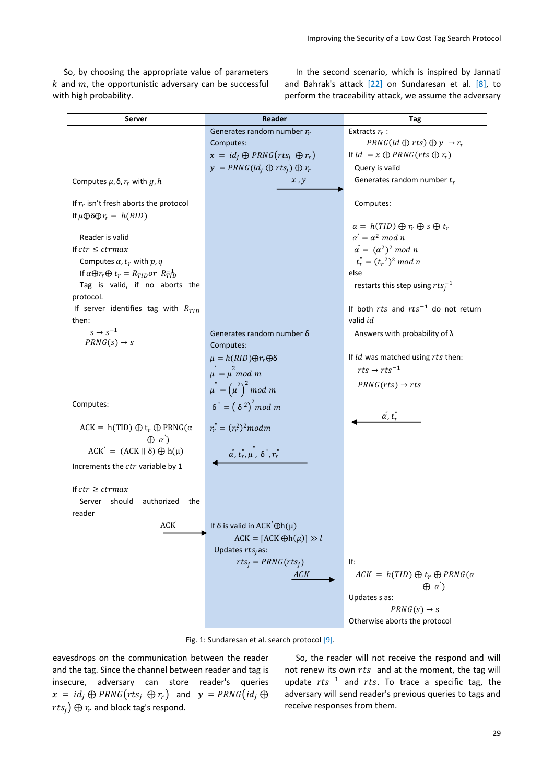So, by choosing the appropriate value of parameters  $k$  and  $m$ , the opportunistic adversary can be successful with high probability.

In the second scenario, which is inspired by Jannati and Bahrak's attack [\[22\]](#page-11-1) on Sundaresan et al. [\[8\],](#page-10-7) to perform the traceability attack, we assume the adversary

| <b>Server</b>                                                 | Reader                                        | Tag                                              |
|---------------------------------------------------------------|-----------------------------------------------|--------------------------------------------------|
|                                                               | Generates random number $r_r$                 | Extracts $r_r$ :                                 |
|                                                               | Computes:                                     | $PRNG(id \oplus rts) \oplus y \rightarrow r_r$   |
|                                                               | $x = id_i \oplus PRNG(rts_i \oplus r_r)$      | If $id = x \oplus PRNG(rts \oplus r_r)$          |
|                                                               | $y = PRNG(id_i \oplus rts_i) \oplus r_r$      | Query is valid                                   |
| Computes $\mu$ , $\delta$ , $r_r$ with g, h                   | $\boldsymbol{x}$ , $\boldsymbol{y}$           | Generates random number $t_r$                    |
| If $r_r$ isn't fresh aborts the protocol                      |                                               | Computes:                                        |
| If $\mu \oplus \delta \oplus r_r = h(RID)$                    |                                               |                                                  |
|                                                               |                                               | $\alpha = h(TID) \oplus r_r \oplus s \oplus t_r$ |
| Reader is valid                                               |                                               | $\alpha' = \alpha^2 \mod n$                      |
| If $ctr \leq c$ trmax                                         |                                               | $\alpha = (\alpha^2)^2 \mod n$                   |
| Computes $\alpha$ , $t_r$ with $p$ , $q$                      |                                               | $t_r^{\dagger} = (t_r^{\ 2})^2 \mod n$           |
| If $\alpha \oplus r_r \oplus t_r = R_{TID}$ or $R_{TID}^{-1}$ |                                               | else                                             |
| Tag is valid, if no aborts the<br>protocol.                   |                                               | restarts this step using $rtsi-1$                |
| If server identifies tag with $R_{TID}$                       |                                               | If both $rts$ and $rts^{-1}$ do not return       |
| then:                                                         |                                               | valid id                                         |
| $s \rightarrow s^{-1}$                                        | Generates random number δ                     | Answers with probability of $\lambda$            |
| $PRNG(s) \rightarrow s$                                       | Computes:                                     |                                                  |
|                                                               | $\mu = h(RID) \oplus r_r \oplus \delta$       | If id was matched using rts then:                |
|                                                               |                                               | $rts \rightarrow rts^{-1}$                       |
|                                                               | $\mu = \mu^2$ mod m                           |                                                  |
|                                                               | $\mu^{n} = (\mu^{2})^{2}$ mod m               | $PRNG(rts) \rightarrow rts$                      |
| Computes:                                                     | $\delta^{\prime\prime} = (\delta^2)^2 \mod m$ |                                                  |
|                                                               |                                               | $\alpha$ , $t_r$                                 |
| $ACK = h(TID) \oplus t_r \oplus PRNG(\alpha)$                 | $r_r = (r_r^2)^2$ modm                        |                                                  |
| $\oplus \alpha'$                                              |                                               |                                                  |
| $ACK' = (ACK \parallel \delta) \oplus h(\mu)$                 | $\alpha$ , $t_r$ , $\mu$ , $\delta$ , $r_r$   |                                                  |
| Increments the ctr variable by 1                              |                                               |                                                  |
| If $ctr \geq c$ <i>trmax</i>                                  |                                               |                                                  |
| Server should<br>authorized the                               |                                               |                                                  |
| reader                                                        |                                               |                                                  |
| ACK <sup>'</sup>                                              | If $\delta$ is valid in ACK $\Theta h(\mu)$   |                                                  |
|                                                               | $ACK = [ACK' \oplus h(\mu)] \gg l$            |                                                  |
|                                                               | Updates $rtsi$ as:                            |                                                  |
|                                                               | $rts_j = PRNG(rts_j)$                         | If:                                              |
|                                                               | ACK                                           | $ACK = h(TID) \oplus t_r \oplus PRNG(\alpha$     |
|                                                               |                                               | $\oplus$ a')                                     |
|                                                               |                                               | Updates s as:                                    |
|                                                               |                                               | $PRNG(s) \rightarrow s$                          |
|                                                               |                                               | Otherwise aborts the protocol                    |

Fig. 1: Sundaresan et al. search protoco[l \[9\].](#page-10-8)

eavesdrops on the communication between the reader and the tag. Since the channel between reader and tag is insecure, adversary can store reader's queries  $x = id_j \oplus PRNG(rts_j \oplus r_r)$  and  $y = PRNG(id_j \oplus r_r)$  $rts_i) \oplus r_r$  and block tag's respond.

So, the reader will not receive the respond and will not renew its own  $rts$  and at the moment, the tag will update  $rts^{-1}$  and  $rts$ . To trace a specific tag, the adversary will send reader's previous queries to tags and receive responses from them.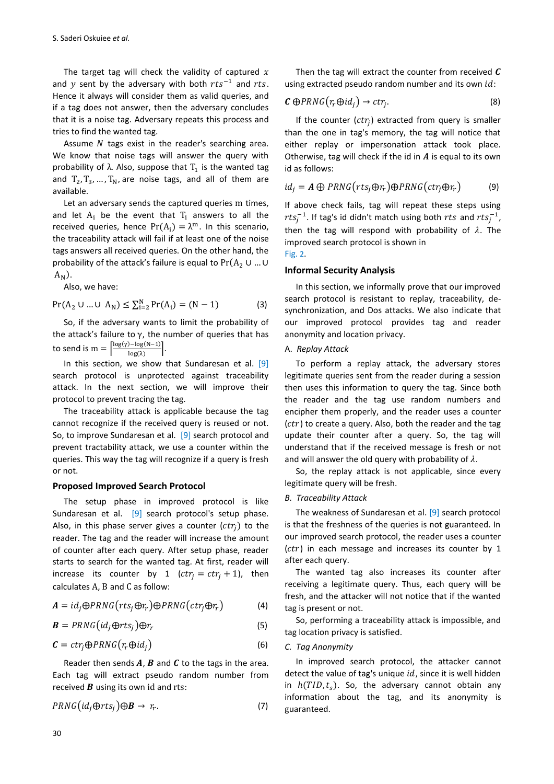The target tag will check the validity of captured  $x$ and y sent by the adversary with both  $rts^{-1}$  and  $rts$ . Hence it always will consider them as valid queries, and if a tag does not answer, then the adversary concludes that it is a noise tag. Adversary repeats this process and tries to find the wanted tag.

Assume  $N$  tags exist in the reader's searching area. We know that noise tags will answer the query with probability of  $\lambda$ . Also, suppose that  $T_1$  is the wanted tag and  $T_2, T_3, ..., T_N$ , are noise tags, and all of them are available.

Let an adversary sends the captured queries m times, and let  $A_i$  be the event that  $T_i$  answers to all the received queries, hence  $Pr(A_i) = \lambda^m$ . In this scenario, the traceability attack will fail if at least one of the noise tags answers all received queries. On the other hand, the probability of the attack's failure is equal to  $Pr(A_2 \cup ... \cup$  $A_N$ ).

Also, we have:

$$
Pr(A_2 \cup ... \cup A_N) \le \sum_{i=2}^{N} Pr(A_i) = (N-1)
$$
 (3)

So, if the adversary wants to limit the probability of the attack's failure to  $\gamma$ , the number of queries that has to send is  $m = \left[\frac{\log(\gamma) - \log(N-1)}{\log(1)}\right]$ .  $log(\lambda)$ 

In this section, we show that Sundaresan et al. [\[9\]](#page-10-8) search protocol is unprotected against traceability attack. In the next section, we will improve their protocol to prevent tracing the tag.

The traceability attack is applicable because the tag cannot recognize if the received query is reused or not. So, to improve Sundaresan et al. [\[9\]](#page-10-8) search protocol and prevent tractability attack, we use a counter within the queries. This way the tag will recognize if a query is fresh or not.

#### **Proposed Improved Search Protocol**

The setup phase in improved protocol is like Sundaresan et al. [\[9\]](#page-10-8) search protocol's setup phase. Also, in this phase server gives a counter  $(ctr_i)$  to the reader. The tag and the reader will increase the amount of counter after each query. After setup phase, reader starts to search for the wanted tag. At first, reader will increase its counter by 1  $(ctr<sub>i</sub> = ctr<sub>i</sub> + 1)$ , then calculates  $A$ ,  $B$  and  $C$  as follow:

$$
A = id_j \oplus PRNG(rts_j \oplus r_r) \oplus PRNG(ctr_j \oplus r_r)
$$
 (4)

$$
\mathbf{B} = PRNG(id_j \oplus rts_j) \oplus r_r \tag{5}
$$

$$
\mathbf{C} = \operatorname{ctr}_j \oplus \operatorname{PRNG}\left(r_r \oplus id_j\right) \tag{6}
$$

Reader then sends  $A$ ,  $B$  and  $C$  to the tags in the area. Each tag will extract pseudo random number from received  $\bm{B}$  using its own id and rts:

$$
PRNG(id_j \oplus rts_j) \oplus B \rightarrow r_r. \tag{7}
$$

Then the tag will extract the counter from received  $C$ using extracted pseudo random number and its own  $id$ :

$$
\mathbf{C}\oplus PRNG(r_r\oplus id_j)\to ctr_j. \tag{8}
$$

If the counter  $(ctr<sub>j</sub>)$  extracted from query is smaller than the one in tag's memory, the tag will notice that either replay or impersonation attack took place. Otherwise, tag will check if the id in  $A$  is equal to its own id as follows:

$$
id_j = A \oplus PRNG(rts_j \oplus r_r) \oplus PRNG(ctr_j \oplus r_r)
$$
 (9)

If above check fails, tag will repeat these steps using  $rts_i^{-1}$ . If tag's id didn't match using both  $rts$  and  $rts_i^{-1}$ , then the tag will respond with probability of  $\lambda$ . The improved search protocol is shown in

## [Fig.](#page-6-0) 2.

#### **Informal Security Analysis**

In this section, we informally prove that our improved search protocol is resistant to replay, traceability, desynchronization, and Dos attacks. We also indicate that our improved protocol provides tag and reader anonymity and location privacy.

#### A. *Replay Attack*

To perform a replay attack, the adversary stores legitimate queries sent from the reader during a session then uses this information to query the tag. Since both the reader and the tag use random numbers and encipher them properly, and the reader uses a counter  $(ctr)$  to create a query. Also, both the reader and the tag update their counter after a query. So, the tag will understand that if the received message is fresh or not and will answer the old query with probability of  $\lambda$ .

So, the replay attack is not applicable, since every legitimate query will be fresh.

#### *B. Traceability Attack*

The weakness of Sundaresan et al. [\[9\]](#page-10-8) search protocol is that the freshness of the queries is not guaranteed. In our improved search protocol, the reader uses a counter  $(ctr)$  in each message and increases its counter by 1 after each query.

The wanted tag also increases its counter after receiving a legitimate query. Thus, each query will be fresh, and the attacker will not notice that if the wanted tag is present or not.

So, performing a traceability attack is impossible, and tag location privacy is satisfied.

#### *C. Tag Anonymity*

In improved search protocol, the attacker cannot detect the value of tag's unique  $id$ , since it is well hidden in  $h(TID, t_s)$ . So, the adversary cannot obtain any information about the tag, and its anonymity is guaranteed.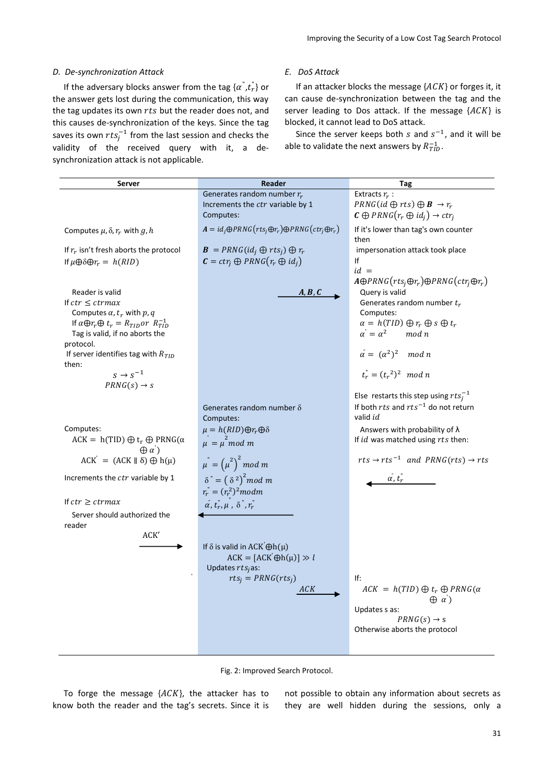#### *D. De-synchronization Attack*

If the adversary blocks answer from the tag  $\{\alpha^{\shortparallel}, t_r^{\shortparallel}\}$  or the answer gets lost during the communication, this way the tag updates its own  $rts$  but the reader does not, and this causes de-synchronization of the keys. Since the tag saves its own  $rts_j^{-1}$  from the last session and checks the validity of the received query with it, a desynchronization attack is not applicable.

#### *E. DoS Attack*

If an attacker blocks the message  ${ACK}$  or forges it, it can cause de-synchronization between the tag and the server leading to Dos attack. If the message  ${ACK}$  is blocked, it cannot lead to DoS attack.

Since the server keeps both s and  $s^{-1}$ , and it will be able to validate the next answers by  $R_{TID}^{-1}$ .

| <b>Server</b>                                                                                                                                                                                                                                   | Reader                                                                                                               | Tag                                                                                                                                                                                                                                                                     |
|-------------------------------------------------------------------------------------------------------------------------------------------------------------------------------------------------------------------------------------------------|----------------------------------------------------------------------------------------------------------------------|-------------------------------------------------------------------------------------------------------------------------------------------------------------------------------------------------------------------------------------------------------------------------|
|                                                                                                                                                                                                                                                 | Generates random number $r_r$<br>Increments the ctr variable by 1<br>Computes:                                       | Extracts $r_r$ :<br>$PRNG(id \bigoplus rts) \bigoplus B \rightarrow r_r$<br>$\mathcal{C} \oplus PRNG(r_r \oplus id_i) \rightarrow ctr_i$                                                                                                                                |
| Computes $\mu$ , $\delta$ , $r_r$ with g, h                                                                                                                                                                                                     | $A = id_i \oplus PRNG(rts_i \oplus r_r) \oplus PRNG(ctr_i \oplus r_r)$                                               | If it's lower than tag's own counter                                                                                                                                                                                                                                    |
| If $r_r$ isn't fresh aborts the protocol<br>If $\mu \oplus \delta \oplus r_r = h(RID)$                                                                                                                                                          | $\mathbf{B} = PRNG(id_i \oplus rts_i) \oplus r_r$<br>$\mathbf{C} = \text{ctr}_i \oplus \text{PRNG}(r_r \oplus id_i)$ | then<br>impersonation attack took place<br>Ιf<br>$id =$                                                                                                                                                                                                                 |
| Reader is valid<br>If $ctr \leq c$ trmax<br>Computes $\alpha$ , $t_r$ with $p$ , $q$<br>If $\alpha \oplus r_r \oplus t_r = R_{TID}$ or $R_{TID}^{-1}$<br>Tag is valid, if no aborts the<br>protocol.<br>If server identifies tag with $R_{TID}$ | A, B, C                                                                                                              | $A\oplus PRNG(rts_i\oplus r_r)\oplus PRNG(ctr_i\oplus r_r)$<br>Query is valid<br>Generates random number $t_r$<br>Computes:<br>$\alpha = h(TID) \bigoplus r_r \bigoplus s \bigoplus t_r$<br>$\alpha' = \alpha^2 \quad \mod n$<br>$\alpha^{2} = (\alpha^{2})^{2} \mod n$ |
| then:<br>$s \rightarrow s^{-1}$<br>$PRNG(s) \rightarrow s$                                                                                                                                                                                      |                                                                                                                      | $t_r = (t_r^2)^2 \mod n$                                                                                                                                                                                                                                                |
|                                                                                                                                                                                                                                                 | Generates random number $\delta$<br>Computes:                                                                        | Else restarts this step using $rtsi-1$<br>If both $rts$ and $rts^{-1}$ do not return<br>valid <i>id</i>                                                                                                                                                                 |
| Computes:<br>$ACK = h(TID) \oplus t_r \oplus PRNG(\alpha$<br>$\oplus \alpha'$                                                                                                                                                                   | $\mu = h(RID) \oplus r_r \oplus \delta$<br>$\mu = \mu \mod m$                                                        | Answers with probability of $\lambda$<br>If id was matched using rts then:                                                                                                                                                                                              |
| $ACK' = (ACK    \delta) \bigoplus h(\mu)$                                                                                                                                                                                                       | $\mu^{n} = (\mu^{2})^{2}$ mod m                                                                                      | $rts \rightarrow rts^{-1}$ and $PRNG(rts) \rightarrow rts$                                                                                                                                                                                                              |
| Increments the ctr variable by 1                                                                                                                                                                                                                | $\delta^{\prime} = (\delta^2)^2$ mod m<br>$r_r = (r_r^2)^2$ modm                                                     | $\alpha$ , $t_r$                                                                                                                                                                                                                                                        |
| If $ctr \geq c$ trmax<br>Server should authorized the<br>reader<br>ACK'                                                                                                                                                                         | $\alpha$ , $t_r, \mu$ , $\delta$ , $r_r$                                                                             |                                                                                                                                                                                                                                                                         |
|                                                                                                                                                                                                                                                 | If $\delta$ is valid in ACK $\Theta h(\mu)$<br>$ACK = [ACK' \oplus h(\mu)] \gg l$<br>Updates $rtsi$ as:              |                                                                                                                                                                                                                                                                         |
|                                                                                                                                                                                                                                                 | $rts_i = PRNG(rts_i)$<br>ACK                                                                                         | If:<br>$ACK = h(TID) \oplus t_r \oplus PRNG(\alpha)$<br>$\oplus$ a')<br>Updates s as:<br>$PRNG(s) \rightarrow s$                                                                                                                                                        |
|                                                                                                                                                                                                                                                 |                                                                                                                      | Otherwise aborts the protocol                                                                                                                                                                                                                                           |



<span id="page-6-0"></span>To forge the message  ${ACK}$ , the attacker has to know both the reader and the tag's secrets. Since it is not possible to obtain any information about secrets as they are well hidden during the sessions, only a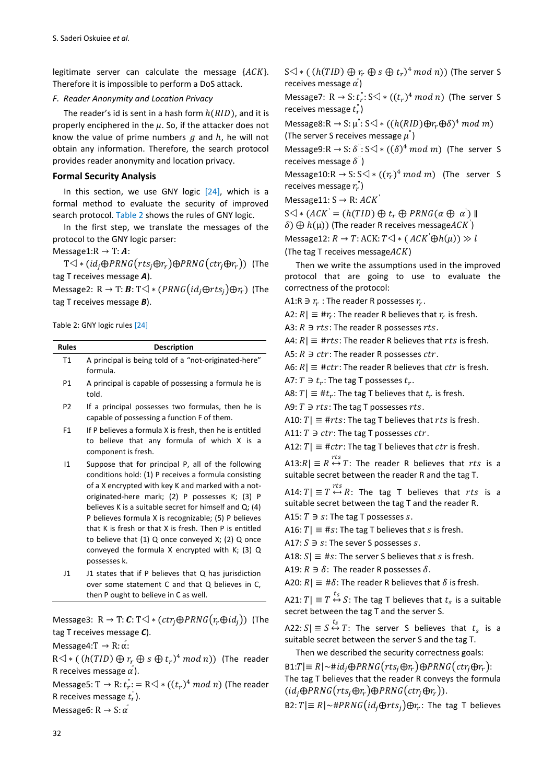legitimate server can calculate the message  ${ACK}$ . Therefore it is impossible to perform a DoS attack.

#### *F. Reader Anonymity and Location Privacy*

The reader's id is sent in a hash form  $h(RID)$ , and it is properly enciphered in the  $\mu$ . So, if the attacker does not know the value of prime numbers  $g$  and  $h$ , he will not obtain any information. Therefore, the search protocol provides reader anonymity and location privacy.

#### **Formal Security Analysis**

In this section, we use GNY logic  $[24]$ , which is a formal method to evaluate the security of improved search protocol. [Table 2](#page-7-0) shows the rules of GNY logic.

In the first step, we translate the messages of the protocol to the GNY logic parser:

### Message1: $R \rightarrow T$ : A:

 $T \triangleleft * ( id_i \oplus PRNG(rts_i \oplus r_r) \oplus PRNG(ctr_i \oplus r_r))$  (The tag T receives message *A*).

Message2: R  $\rightarrow$  T: **B**: T $\triangleleft$  \* (PRNG(id<sub>i</sub> $\oplus$ rts<sub>i</sub>) $\oplus$ r<sub>r</sub>) (The tag T receives message *B*).

#### <span id="page-7-0"></span>Table 2: GNY logic rules [\[24\]](#page-11-3)

| <b>Rules</b>   | <b>Description</b>                                                                                                                                               |
|----------------|------------------------------------------------------------------------------------------------------------------------------------------------------------------|
| T1             | A principal is being told of a "not-originated-here"<br>formula.                                                                                                 |
| P1             | A principal is capable of possessing a formula he is<br>told.                                                                                                    |
| P <sub>2</sub> | If a principal possesses two formulas, then he is<br>capable of possessing a function F of them.                                                                 |
| F <sub>1</sub> | If P believes a formula X is fresh, then he is entitled<br>to believe that any formula of which X is a<br>component is fresh.                                    |
| 11             | Suppose that for principal P, all of the following<br>conditions hold: (1) P receives a formula consisting<br>of a V anamintad with liquit and marked with a not |

- of a X encrypted with key K and marked with a notoriginated-here mark; (2) P possesses K; (3) P believes K is a suitable secret for himself and Q; (4) P believes formula X is recognizable; (5) P believes that K is fresh or that X is fresh. Then P is entitled to believe that (1) Q once conveyed X; (2) Q once conveyed the formula X encrypted with K; (3) Q possesses k.
- J1 J1 states that if P believes that Q has jurisdiction over some statement C and that Q believes in C, then P ought to believe in C as well.

Message3:  $R \to T: C: T \triangleleft * (ctr_i \oplus PRNG(r_r \oplus id_i))$  (The tag T receives message *C*).

Message4:  $T \rightarrow R$ :  $\alpha$ <sup>"</sup>:

 $R \triangleleft * ((h(TID) \oplus r_r \oplus s \oplus t_r)^4 \mod n))$  (The reader R receives message  $\alpha$ <sup>'</sup>).

Message5:  $T \rightarrow R$ :  $t_r^*$ : = R $\triangleleft * ((t_r)^4 \mod n)$  (The reader R receives message  $t_r$ ). Message6: R  $\rightarrow$  S:  $\alpha^{'}$ 

 $S\triangleleft\ast$  (  $(h(TID)\oplus r_r\oplus s\oplus t_r)^4$  mod n)) (The server S receives message  $\alpha$ <sup>'</sup>)

Message7: R  $\rightarrow$  S:  $t_r^*$ : S $\triangleleft * ((t_r)^4 \mod n)$  (The server S receives message  $t_r^{\dagger}$ )

Message8:R  $\rightarrow$  S:  $\mu$ <sup>"</sup>: S $\triangleleft$  \* (( $h(RID) \oplus r_r \oplus \delta$ )<sup>4</sup> mod m) (The server S receives message  $\mu$ <sup>"</sup>)

Message9:R  $\rightarrow$  S:  $\delta$ <sup>"</sup>: S $\triangleleft$  \* (( $\delta$ )<sup>4</sup> mod m) (The server S receives message  $\delta$ <sup>"</sup>)

Message10:R  $\rightarrow$  S: S $\triangleleft * ((r_r)^4 \mod m)$  (The server S receives message  $r_r$ <sup>"</sup>)

Message11:  $S \rightarrow R$ :  $ACK'$ 

 $S \triangleleft * (ACK' = (h(TID) \oplus t_r \oplus PRNG(\alpha \oplus \alpha'))$  $\delta$ )  $\bigoplus h(\mu)$ ) (The reader R receives message $ACK$ ) Message12:  $R \to T$ : ACK:  $T \triangleleft * (ACK \oplus h(\mu)) \gg l$ 

(The tag T receives message $ACK$ )

Then we write the assumptions used in the improved protocol that are going to use to evaluate the correctness of the protocol:

A1:R  $\ni$   $r_r$  : The reader R possesses  $r_r$ .

A2:  $R$ |  $\equiv$  # $r_r$ : The reader R believes that  $r_r$  is fresh.

A3:  $R \ni rts$ : The reader R possesses rts.

A4:  $R$  = #rts: The reader R believes that rts is fresh.

A5:  $R \ni ctr$ : The reader R possesses  $ctr$ .

A6:  $R$  = #ctr: The reader R believes that ctr is fresh.

A7:  $T \ni t_r$ : The tag T possesses  $t_r$ .

A8:  $T | \equiv #t_r$ : The tag T believes that  $t_r$  is fresh.

A9:  $T \ni rts$ : The tag T possesses rts.

A10:  $T \equiv \text{#} r t s$ : The tag T believes that  $r t s$  is fresh.

A11:  $T \ni ctr$ : The tag T possesses  $ctr$ .

A12:  $T \equiv \# \text{ctr}$ : The tag T believes that  $\text{ctr}$  is fresh.

A13: $R \equiv R \stackrel{rts}{\leftrightarrow} T$ : The reader R believes that  $rts$  is a suitable secret between the reader R and the tag T.

A14:  $T | \equiv T \stackrel{rts}{\leftrightarrow} R$ : The tag T believes that  $rts$  is a suitable secret between the tag T and the reader R.

A15:  $T \ni s$ : The tag T possesses s.

A16:  $T \equiv \#s$ : The tag T believes that s is fresh.

A17:  $S \ni s$ : The sever S possesses s.

A18:  $S \equiv \text{\#} s$ : The server S believes that s is fresh.

A19:  $R \ni \delta$ : The reader R possesses  $\delta$ .

A20:  $R \equiv #\delta$ : The reader R believes that  $\delta$  is fresh.

A21:  $T | \equiv T \stackrel{t_s}{\leftrightarrow} S$ : The tag T believes that  $t_s$  is a suitable secret between the tag T and the server S.

A22:  $S|\equiv S \stackrel{t_S}{\leftrightarrow} T$ : The server S believes that  $t_S$  is a suitable secret between the server S and the tag T.

Then we described the security correctness goals:

 $B1:T \equiv R \mid \sim #id_j \oplus PRNG(rts_j \oplus r_r) \oplus PRNG(ctr_j \oplus r_r)$ : The tag T believes that the reader R conveys the formula  $(id_i \oplus PRNG(rts_i \oplus r_r) \oplus PRNG(ctr_i \oplus r_r)).$ 

B2:  $T \equiv R \sim \#PRNG(id_i \oplus rts_i) \oplus r_r$ : The tag T believes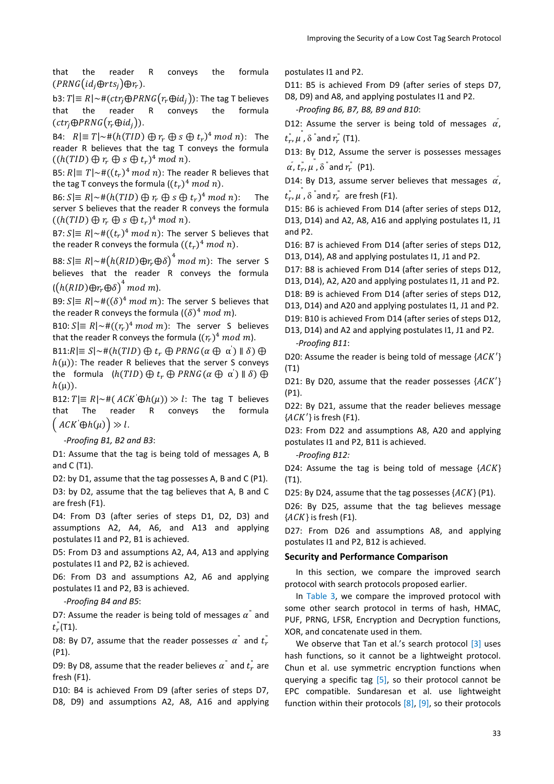that the reader R conveys the formula  $(PRNG(id_i \oplus rts_i) \oplus r_r).$ 

b3:  $T \equiv R \left[ \neg \# (ctr_i \oplus PRNG(r_r \oplus id_i)) :$  The tag T believes that the reader R conveys the formula  $(ctr_i \oplus PRNG(r_i \oplus id_i)).$ 

B4:  $R|\equiv T|\sim \#(h(TID) \oplus r_r \oplus s \oplus t_r)^4 \mod n$ : The reader R believes that the tag T conveys the formula  $((h(TID) \oplus r_r \oplus s \oplus t_r)^4 \mod n).$ 

B5:  $R \equiv T \sim \#((t_r)^4 \mod n)$ : The reader R believes that the tag T conveys the formula  $((t_r)^4 \ mod \ n)$ .

B6:  $S \equiv R \sim \#(h(TID) \oplus r_r \oplus s \oplus t_r)^4 \mod n$ : The server S believes that the reader R conveys the formula  $((h(TID) \oplus r_r \oplus s \oplus t_r)^4 \mod n).$ 

B7:  $S \equiv R \sim \#((t_r)^4 \mod n)$ : The server S believes that the reader R conveys the formula  $((t_r)^4 \ mod \ n)$ .

B8:  $S|\equiv R|\sim\#(h(RID)\oplus r_r\oplus\delta)^4 \ mod\ m$ ): The server S believes that the reader R conveys the formula  $\left(\left(h(RID)\oplus r_r\oplus \delta\right)^4\right.$  mod m).

B9:  $S \equiv R \sim \# ((\delta)^4 \mod m)$ : The server S believes that the reader R conveys the formula  $((\delta)^4 \ mod \ m)$ .

B10:  $S \equiv R \sim \#((r_r)^4 \mod m)$ : The server S believes that the reader R conveys the formula  $((r_r)^4 \ mod \ m)$ .

B11: $R \equiv S \sim #(h(TID) \oplus t_r \oplus PRNG(\alpha \oplus \alpha') \parallel \delta) \oplus$  $h(\mu)$ : The reader R believes that the server S conveys the formula  $(h(TID) \oplus t_r \oplus PRNG(\alpha \oplus \alpha^{'}) \parallel \delta) \oplus$  $h(\mu)$ ).

B12:  $T \equiv R \sim # (ACK \oplus h(\mu)) \gg l$ : The tag T believes that The reader R conveys the formula  $\big($  ACK  $\oplus h(\mu)\big) \gg l$ .

-*Proofing B1, B2 and B3*:

D1: Assume that the tag is being told of messages A, B and C (T1).

D2: by D1, assume that the tag possesses A, B and C (P1).

D3: by D2, assume that the tag believes that A, B and C are fresh (F1).

D4: From D3 (after series of steps D1, D2, D3) and assumptions A2, A4, A6, and A13 and applying postulates I1 and P2, B1 is achieved.

D5: From D3 and assumptions A2, A4, A13 and applying postulates I1 and P2, B2 is achieved.

D6: From D3 and assumptions A2, A6 and applying postulates I1 and P2, B3 is achieved.

-*Proofing B4 and B5*:

D7: Assume the reader is being told of messages  $\alpha^{\dagger}$  and  $t_{r}^{''}(T1)$ .

D8: By D7, assume that the reader possesses  $\alpha^{\text{''}}$  and  $t_r^{\text{''}}$ (P1).

D9: By D8, assume that the reader believes  $\alpha^{\dagger}$  and  $t_r^{\dagger}$  are fresh (F1).

D10: B4 is achieved From D9 (after series of steps D7, D8, D9) and assumptions A2, A8, A16 and applying postulates I1 and P2.

D11: B5 is achieved From D9 (after series of steps D7, D8, D9) and A8, and applying postulates I1 and P2.

-*Proofing B6, B7, B8, B9 and B10*:

D12: Assume the server is being told of messages  $\alpha$ ,  $t_r^{"}, \mu^{"}, \delta^{"}$ and  $r_r^{"}$  (T1).

D13: By D12, Assume the server is possesses messages  $\alpha$  ,  $t_r^{"}, \mu^{"}, \delta$   $^{''}$  and  $r_r^{"}$  (P1).

D14: By D13, assume server believes that messages  $\alpha$ ,  $t^{\degree}_r$ ,  $\mu^{\degree}$ ,  $\delta$   $\degree$  and  $r^{\degree}_r$  are fresh (F1).

D15: B6 is achieved From D14 (after series of steps D12, D13, D14) and A2, A8, A16 and applying postulates I1, J1 and P2.

D16: B7 is achieved From D14 (after series of steps D12, D13, D14), A8 and applying postulates I1, J1 and P2.

D17: B8 is achieved From D14 (after series of steps D12,

D13, D14), A2, A20 and applying postulates I1, J1 and P2.

D18: B9 is achieved From D14 (after series of steps D12,

D13, D14) and A20 and applying postulates I1, J1 and P2.

D19: B10 is achieved From D14 (after series of steps D12, D13, D14) and A2 and applying postulates I1, J1 and P2.

*-Proofing B11*:

D20: Assume the reader is being told of message  $\{ACK'\}$ (T1)

D21: By D20, assume that the reader possesses  ${ACK'}$ (P1).

D22: By D21, assume that the reader believes message  ${ACK'}$  is fresh (F1).

D23: From D22 and assumptions A8, A20 and applying postulates I1 and P2, B11 is achieved.

*-Proofing B12:*

D24: Assume the tag is being told of message  ${ACK}$ (T1).

D25: By D24, assume that the tag possesses  ${ACK}$  (P1).

D26: By D25, assume that the tag believes message  ${ACK}$  is fresh (F1).

D27: From D26 and assumptions A8, and applying postulates I1 and P2, B12 is achieved.

#### **Security and Performance Comparison**

In this section, we compare the improved search protocol with search protocols proposed earlier.

In [Table 3,](#page-9-0) we compare the improved protocol with some other search protocol in terms of hash, HMAC, PUF, PRNG, LFSR, Encryption and Decryption functions, XOR, and concatenate used in them.

We observe that Tan et al.'s search protocol [\[3\]](#page-10-2) uses hash functions, so it cannot be a lightweight protocol. Chun et al. use symmetric encryption functions when querying a specific tag  $[5]$ , so their protocol cannot be EPC compatible. Sundaresan et al. use lightweight function within their protocols [\[8\],](#page-10-7) [\[9\],](#page-10-8) so their protocols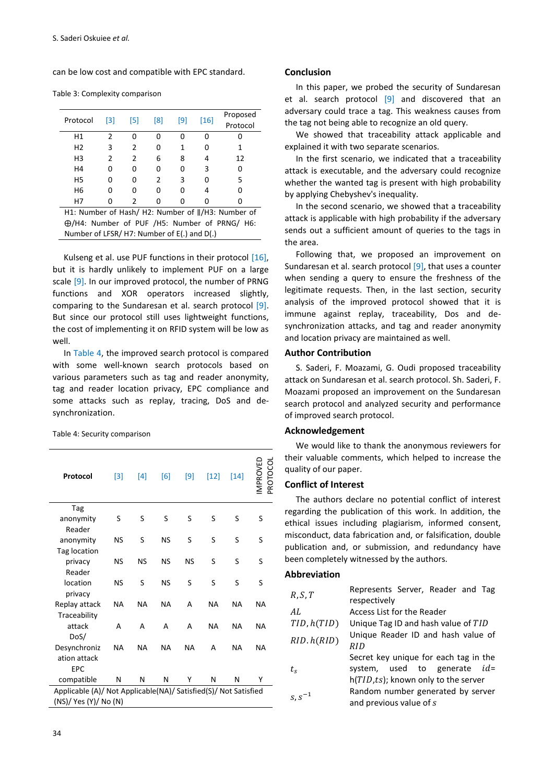can be low cost and compatible with EPC standard.

<span id="page-9-0"></span>

|  |  | Table 3: Complexity comparison |
|--|--|--------------------------------|
|--|--|--------------------------------|

| Protocol       | [3] | [5] | [8]           | [9] | [16] | Proposed<br>Protocol                                                 |
|----------------|-----|-----|---------------|-----|------|----------------------------------------------------------------------|
| H1             | 2   | O   | 0             |     | 0    | U                                                                    |
| H <sub>2</sub> | 3   | 2   | 0             | 1   | 0    | 1                                                                    |
| H <sub>3</sub> | 2   | 2   | 6             | 8   | 4    | 12                                                                   |
| H4             | 0   | 0   | 0             | 0   | 3    | $\Omega$                                                             |
| H <sub>5</sub> | 0   | O   | $\mathfrak z$ | 3   | 0    | 5                                                                    |
| H <sub>6</sub> | 0   | 0   | 0             | ი   | 4    | ŋ                                                                    |
| Н7             | 0   | 2   | 0             | n   | 0    | ŋ                                                                    |
|                |     |     |               |     |      | $114.$ Nicessa of Hook (119, Nicessa of $\frac{1}{112}$ , Nicessa of |

H1: Number of Hash/ H2: Number of  $\parallel$ /H3: Number of /H4: Number of PUF /H5: Number of PRNG/ H6: Number of LFSR/ H7: Number of E(.) and D(.)

Kulseng et al. use PUF functions in their protocol [\[16\],](#page-10-15) but it is hardly unlikely to implement PUF on a large scale [\[9\].](#page-10-8) In our improved protocol, the number of PRNG functions and XOR operators increased slightly, comparing to the Sundaresan et al. search protocol [\[9\].](#page-10-8) But since our protocol still uses lightweight functions, the cost of implementing it on RFID system will be low as well.

In [Table 4,](#page-9-1) the improved search protocol is compared with some well-known search protocols based on various parameters such as tag and reader anonymity, tag and reader location privacy, EPC compliance and some attacks such as replay, tracing, DoS and desynchronization.

<span id="page-9-1"></span>Table 4: Security comparison

| Protocol                                                        | $[3]$     | $[4]$ | [6]       | $[9]$     | $[12]$    | $[14]$ | g<br>S<br>MPROVEI<br>PROT |
|-----------------------------------------------------------------|-----------|-------|-----------|-----------|-----------|--------|---------------------------|
| Tag                                                             |           |       |           |           |           |        |                           |
| anonymity                                                       | S         | S     | S         | S         | S         | S      | S                         |
| Reader                                                          |           |       |           |           |           |        |                           |
| anonymity                                                       | NS        | S     | <b>NS</b> | S         | S         | S      | S                         |
| Tag location                                                    |           |       |           |           |           |        |                           |
| privacy                                                         | NS        | NS    | NS        | <b>NS</b> | S         | S      | S                         |
| Reader                                                          |           |       |           |           |           |        |                           |
| location                                                        | <b>NS</b> | S     | <b>NS</b> | S         | S         | S      | S                         |
| privacy                                                         |           |       |           |           |           |        |                           |
| Replay attack                                                   | NA        | NA    | <b>NA</b> | А         | <b>NA</b> | NA     | NA                        |
| Traceability                                                    |           |       |           |           |           |        |                           |
| attack                                                          | А         | A     | A         | А         | <b>NA</b> | NA     | <b>NA</b>                 |
| DoS/                                                            |           |       |           |           |           |        |                           |
| Desynchroniz                                                    | NA        | NA    | ΝA        | NA        | А         | NA     | NA                        |
| ation attack                                                    |           |       |           |           |           |        |                           |
| <b>EPC</b>                                                      |           |       |           |           |           |        |                           |
| compatible                                                      | N         | N     | N         | Υ         | N         | N      | Υ                         |
| Applicable (A)/ Not Applicable(NA)/ Satisfied(S)/ Not Satisfied |           |       |           |           |           |        |                           |
| (NS)/ Yes (Y)/ No (N)                                           |           |       |           |           |           |        |                           |

#### **Conclusion**

In this paper, we probed the security of Sundaresan et al. search protocol [\[9\]](#page-10-8) and discovered that an adversary could trace a tag. This weakness causes from the tag not being able to recognize an old query.

We showed that traceability attack applicable and explained it with two separate scenarios.

In the first scenario, we indicated that a traceability attack is executable, and the adversary could recognize whether the wanted tag is present with high probability by applying Chebyshev's inequality.

In the second scenario, we showed that a traceability attack is applicable with high probability if the adversary sends out a sufficient amount of queries to the tags in the area.

Following that, we proposed an improvement on Sundaresan et al. search protocol [\[9\],](#page-10-8) that uses a counter when sending a query to ensure the freshness of the legitimate requests. Then, in the last section, security analysis of the improved protocol showed that it is immune against replay, traceability, Dos and desynchronization attacks, and tag and reader anonymity and location privacy are maintained as well.

#### **Author Contribution**

S. Saderi, F. Moazami, G. Oudi proposed traceability attack on Sundaresan et al. search protocol. Sh. Saderi, F. Moazami proposed an improvement on the Sundaresan search protocol and analyzed security and performance of improved search protocol.

#### **Acknowledgement**

We would like to thank the anonymous reviewers for their valuable comments, which helped to increase the quality of our paper.

#### **Conflict of Interest**

The authors declare no potential conflict of interest regarding the publication of this work. In addition, the ethical issues including plagiarism, informed consent, misconduct, data fabrication and, or falsification, double publication and, or submission, and redundancy have been completely witnessed by the authors.

#### **Abbreviation**

| R, S, T     | Represents Server, Reader and Tag     |
|-------------|---------------------------------------|
|             | respectively                          |
| AL.         | Access List for the Reader            |
| TID, h(TID) | Unique Tag ID and hash value of TID   |
| RID.h(RID)  | Unique Reader ID and hash value of    |
|             | RID                                   |
|             | Secret key unique for each tag in the |
| $t_{\rm c}$ | system, used to generate <i>id</i> =  |
|             | h(TID,ts); known only to the server   |
|             | Random number generated by server     |
| $s, s^{-1}$ | and previous value of s               |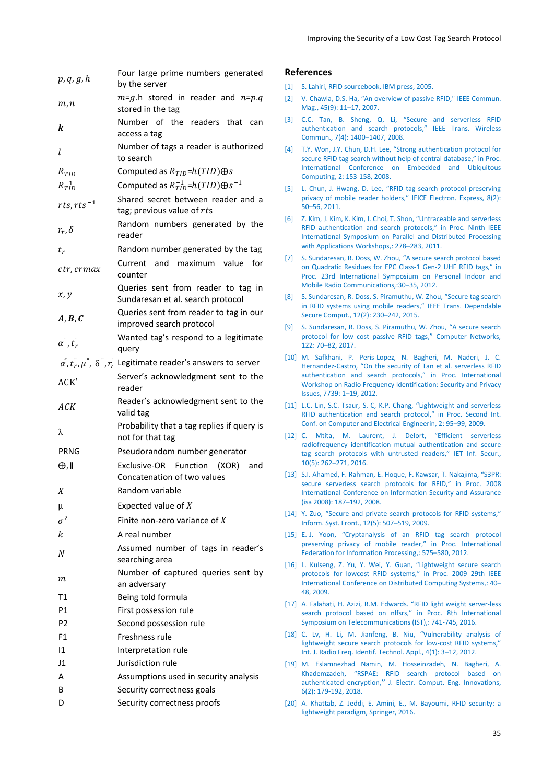| Improving the Security of a Low Cost Tag Search Protocol |  |
|----------------------------------------------------------|--|
|----------------------------------------------------------|--|

| p, q, g, h            | Four large prime numbers generated<br>by the server                                                       |
|-----------------------|-----------------------------------------------------------------------------------------------------------|
| m, n                  | $m=g.h$ stored in reader and $n=p.q$<br>stored in the tag                                                 |
| k                     | Number of the readers that<br>can<br>access a tag                                                         |
| L                     | Number of tags a reader is authorized<br>to search                                                        |
| $R_{TID}$             | Computed as $R_{TID} = h(TID) \oplus s$                                                                   |
| $R_{TID}^{-1}$        | Computed as $R_{TID}^{-1}$ = $h(TID)\oplus s^{-1}$                                                        |
| rts, $rts^{-1}$       | Shared secret between reader and a<br>tag; previous value of rts                                          |
| $r_r, \delta$         | Random numbers generated by the<br>reader                                                                 |
| $t_r$                 | Random number generated by the tag                                                                        |
| ctr, crmax            | Current and maximum value<br>for<br>counter                                                               |
| x, y                  | Queries sent from reader to tag in<br>Sundaresan et al. search protocol                                   |
| A, B, C               | Queries sent from reader to tag in our<br>improved search protocol                                        |
| $\alpha^{"}, t_r^{"}$ | Wanted tag's respond to a legitimate<br>query                                                             |
|                       | $\alpha$ , $t_n^{\dagger}, \mu^{\dagger}$ , $\delta^{\dagger}, r$ , Legitimate reader's answers to server |
| ACK'                  | Server's acknowledgment sent to the<br>reader                                                             |
| ACK                   | Reader's acknowledgment sent to the<br>valid tag                                                          |
| λ                     | Probability that a tag replies if query is<br>not for that tag                                            |
| PRNG                  | Pseudorandom number generator                                                                             |
| ⊕,∥                   | Exclusive-OR<br>Function (XOR)<br>and<br>Concatenation of two values                                      |
| Χ                     | Random variable                                                                                           |
| μ                     | Expected value of $X$                                                                                     |
| $\sigma^2$            | Finite non-zero variance of X                                                                             |
| k                     | A real number                                                                                             |
| N                     | Assumed number of tags in reader's<br>searching area                                                      |
| т                     | Number of captured queries sent by<br>an adversary                                                        |
| Τ1                    | Being told formula                                                                                        |
| P1                    | First possession rule                                                                                     |
| P <sub>2</sub>        | Second possession rule                                                                                    |
| F <sub>1</sub>        | Freshness rule                                                                                            |
| $\mathsf{I}1$         | Interpretation rule                                                                                       |
| 11                    | Jurisdiction rule                                                                                         |
| А                     | Assumptions used in security analysis                                                                     |
| B                     | Security correctness goals                                                                                |
| D                     | Security correctness proofs                                                                               |

#### **References**

- <span id="page-10-0"></span>[1] S. Lahiri, [RFID sourcebook,](https://dl.acm.org/doi/book/10.5555/1095610) IBM press, 2005.
- <span id="page-10-1"></span>[2] V. Chawla, D.S. Ha, "[An overview of passive RFID,"](https://ieeexplore.ieee.org/abstract/document/4342873) IEEE Commun. [Mag., 45\(9\):](https://ieeexplore.ieee.org/abstract/document/4342873) 11–17, 2007.
- <span id="page-10-2"></span>[3] [C.C. Tan, B. Sheng, Q. Li,](https://ieeexplore.ieee.org/abstract/document/4489767) "Secure and serverless RFID [authentication and search protocols](https://ieeexplore.ieee.org/abstract/document/4489767)," IEEE Trans. Wireless [Commun., 7\(4\): 1400](https://ieeexplore.ieee.org/abstract/document/4489767)–1407, 2008.
- <span id="page-10-3"></span>[4] T.Y. Won, J.Y. Chun, D.H. Lee, "[Strong authentication protocol for](https://ieeexplore.ieee.org/abstract/document/4755222)  secure RFID tag search wi[thout help of central database,"](https://ieeexplore.ieee.org/abstract/document/4755222) in Proc. [International Conference on Embedded and Ubiquitous](https://ieeexplore.ieee.org/abstract/document/4755222)  [Computing,](https://ieeexplore.ieee.org/abstract/document/4755222) 2: 153-158, 2008.
- <span id="page-10-4"></span>[5] [L. Chun, J. Hwang, D. Lee, "RFID tag search protocol preserving](https://koreauniv.pure.elsevier.com/en/publications/rfid-tag-search-protocol-preserving-privacy-of-mobile-reader-hold)  [privacy of mobile reader holders,"](https://koreauniv.pure.elsevier.com/en/publications/rfid-tag-search-protocol-preserving-privacy-of-mobile-reader-hold) IEICE Electron. Express, 8(2): 50–[56, 2011.](https://koreauniv.pure.elsevier.com/en/publications/rfid-tag-search-protocol-preserving-privacy-of-mobile-reader-hold)
- <span id="page-10-5"></span>[6] Z. Kim, J. Kim, K. Kim, I. Choi, T. Shon, "[Untraceable and serverless](https://ieeexplore.ieee.org/abstract/document/5951988)  RFID authe[ntication and search protocols,"](https://ieeexplore.ieee.org/abstract/document/5951988) in Proc. Ninth IEEE [International Symposium on Parallel and](https://ieeexplore.ieee.org/abstract/document/5951988) Distributed Processing [with Applications Workshops,:](https://ieeexplore.ieee.org/abstract/document/5951988) 278–283, 2011.
- <span id="page-10-6"></span>[7] S. Sundaresan[, R. Doss, W. Zhou, "A secure search protocol based](https://ieeexplore.ieee.org/abstract/document/6362802)  [on Quadratic Residues for EPC Class-1 Gen-](https://ieeexplore.ieee.org/abstract/document/6362802)2 UHF RFID tags," in [Proc. 23rd International Symposium on Personal Indoor and](https://ieeexplore.ieee.org/abstract/document/6362802)  [Mobile Radio Communications,:30](https://ieeexplore.ieee.org/abstract/document/6362802)–35, 2012.
- <span id="page-10-7"></span>[8] [S. Sundaresan, R. Doss, S. Piramuthu, W. Zhou, "Secure tag search](https://ieeexplore.ieee.org/abstract/document/6803031)  [in RFID systems using mobile readers,"](https://ieeexplore.ieee.org/abstract/document/6803031) IEEE Trans. Dependable [Secure Comput., 12\(2\):](https://ieeexplore.ieee.org/abstract/document/6803031) 230–242, 2015.
- <span id="page-10-8"></span>[9] [S. Sundaresan, R. Doss, S. Piramuthu, W. Zhou, "A secure search](https://www.sciencedirect.com/science/article/abs/pii/S138912861730155X)  [protocol for low cost passive RFID tags,"](https://www.sciencedirect.com/science/article/abs/pii/S138912861730155X) Computer Networks, 122: 70–[82, 2017.](https://www.sciencedirect.com/science/article/abs/pii/S138912861730155X)
- <span id="page-10-9"></span>[10] [M. Safkhani, P. Peris-Lopez, N. Bagheri, M. Naderi, J. C.](https://link.springer.com/chapter/10.1007/978-3-642-36140-1_1)  Hernandez-[Castro, "On the security of Tan et al. serverless RFID](https://link.springer.com/chapter/10.1007/978-3-642-36140-1_1)  [authentication and search protocols,"](https://link.springer.com/chapter/10.1007/978-3-642-36140-1_1) in Proc. International [Workshop on Radio Frequency Identification: Security and Privacy](https://link.springer.com/chapter/10.1007/978-3-642-36140-1_1)  Issues, 7739: 1–[19, 2012.](https://link.springer.com/chapter/10.1007/978-3-642-36140-1_1)
- <span id="page-10-10"></span>[11] L.C. Lin, S.C. Tsaur, S.-C, K.P. Chang, "Lightweight and serverless [RFID authentication and search protocol,"](https://ieeexplore.ieee.org/abstract/document/5380132) in Proc. Second Int. [Conf. on Computer and Electrical Engineerin, 2:](https://ieeexplore.ieee.org/abstract/document/5380132) 95–99, 2009.
- <span id="page-10-11"></span>[12] [C. Mtita, M. Laurent, J. Delort, "Efficient serverless](https://digital-library.theiet.org/content/journals/10.1049/iet-ifs.2015.0428)  [radiofrequency identification mutual authentication and secure](https://digital-library.theiet.org/content/journals/10.1049/iet-ifs.2015.0428)  [tag search protocols with untrusted readers,"](https://digital-library.theiet.org/content/journals/10.1049/iet-ifs.2015.0428) IET Inf. Secur., 10(5): 262–[271, 2016.](https://digital-library.theiet.org/content/journals/10.1049/iet-ifs.2015.0428)
- <span id="page-10-12"></span>[13] [S.I. Ahamed, F. Rahman, E. Hoque, F. Kawsar](https://ieeexplore.ieee.org/abstract/document/4511560), T. Nakajima, "S3PR: [secure serverless search protocols for](https://ieeexplore.ieee.org/abstract/document/4511560) RFID," in Proc. 2008 [International Conference on Information Security and](https://ieeexplore.ieee.org/abstract/document/4511560) Assurance (isa 2008): 187–[192, 2008.](https://ieeexplore.ieee.org/abstract/document/4511560)
- <span id="page-10-13"></span>[14] Y. Zuo[, "Secure and private search protocols for RFID systems,"](https://link.springer.com/article/10.1007/s10796-009-9208-6)  [Inform. Syst. Front., 12\(5\):](https://link.springer.com/article/10.1007/s10796-009-9208-6) 507–519, 2009.
- <span id="page-10-14"></span>[15] E.-[J. Yoon, "Cryptanalysis of an RFID](https://link.springer.com/chapter/10.1007/978-3-642-35606-3_68) tag search protocol [preserving privacy of mobile reader,"](https://link.springer.com/chapter/10.1007/978-3-642-35606-3_68) in Proc. International [Federation for Information Processing,:](https://link.springer.com/chapter/10.1007/978-3-642-35606-3_68) 575–580, 2012.
- <span id="page-10-15"></span>[16] [L. Kulseng, Z. Yu, Y. Wei, Y. Guan, "Lightweight](https://ieeexplore.ieee.org/abstract/document/5158407) secure search [protocols for lowcost RFID s](https://ieeexplore.ieee.org/abstract/document/5158407)ystems," in Proc. 2009 29th IEEE [International Conference on Distributed Computing Systems,:](https://ieeexplore.ieee.org/abstract/document/5158407) 40– [48, 2009.](https://ieeexplore.ieee.org/abstract/document/5158407)
- <span id="page-10-16"></span>[17] [A. Falahati, H. Azizi, R.M. Edwards.](https://ieeexplore.ieee.org/abstract/document/7881921) "RFID light weight server-less [search protocol based on nlfsrs](https://ieeexplore.ieee.org/abstract/document/7881921)," in Proc. 8th International [Symposium on Telecommunications \(IST\),: 741-745, 2016.](https://ieeexplore.ieee.org/abstract/document/7881921)
- <span id="page-10-17"></span>[18] [C. Lv, H. Li, M. Jianfeng, B. Niu, "Vulnerability an](https://www.researchgate.net/profile/Ben_Niu6/publication/220451644_Vulnerability_analysis_of_lightweight_secure_search_protocols_for_low-cost_RFID_systems/links/541fd0ed0cf2218008d3fc09.pdf)alysis of [lightweight secure search protocols for low-](https://www.researchgate.net/profile/Ben_Niu6/publication/220451644_Vulnerability_analysis_of_lightweight_secure_search_protocols_for_low-cost_RFID_systems/links/541fd0ed0cf2218008d3fc09.pdf)cost RFID systems," [Int. J. Radio Freq. Identif. Technol. Appl., 4\(1\):](https://www.researchgate.net/profile/Ben_Niu6/publication/220451644_Vulnerability_analysis_of_lightweight_secure_search_protocols_for_low-cost_RFID_systems/links/541fd0ed0cf2218008d3fc09.pdf) 3–12, 2012.
- <span id="page-10-18"></span>[19] [M. Eslamnezhad Namin, M. Hosseinzadeh, N. Bagheri, A.](http://jecei.sru.ac.ir/article_1105.html)  Khademzadeh, "[RSPAE: RFID search protocol based on](http://jecei.sru.ac.ir/article_1105.html)  authenticated encryption,'' [J. Electr. Comput. Eng. Innovations,](http://jecei.sru.ac.ir/article_1105.html) 6(2): [179-192, 2018.](http://jecei.sru.ac.ir/article_1105.html)
- <span id="page-10-19"></span>[20] A. Khattab, Z. Jeddi, [E. Amini, E., M. Bayoumi, RFID security: a](https://books.google.com/books?hl=en&lr=&id=C_B6DQAAQBAJ&oi=fnd&pg=PR7&dq=RFID+security:+a+lightweight+paradigm,+Springer,+2016.+&ots=6nKaP-RmD1&sig=aaHrZESmI8ejZtNkig4sxO9VwHg#v=onepage&q=RFID%20security%3A%20a%20lightweight%20paradigm%2C%20Springer%2C%20)  [lightweight paradigm,](https://books.google.com/books?hl=en&lr=&id=C_B6DQAAQBAJ&oi=fnd&pg=PR7&dq=RFID+security:+a+lightweight+paradigm,+Springer,+2016.+&ots=6nKaP-RmD1&sig=aaHrZESmI8ejZtNkig4sxO9VwHg#v=onepage&q=RFID%20security%3A%20a%20lightweight%20paradigm%2C%20Springer%2C%20) Springer, 2016.